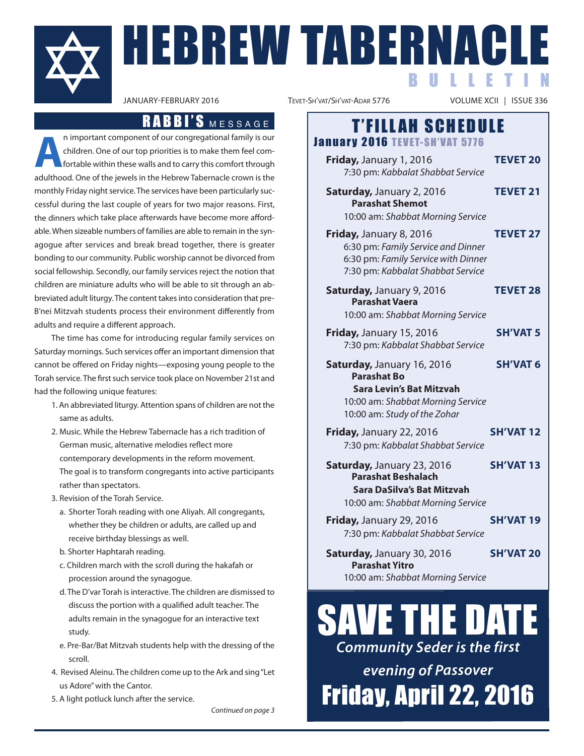

**HEBREW TABERNACLE** B U L L E T I N

**a**n important component of our congregational family is our children. One of our top priorities is to make them feel comfortable within these walls and to carry this comfort through adulthood. one of the jewels in the hebrew Tabernacle crown is the monthly friday night service. The services have been particularly successful during the last couple of years for two major reasons. first, the dinners which take place afterwards have become more affordable. When sizeable numbers of families are able to remain in the synagogue after services and break bread together, there is greater bonding to our community. Public worship cannot be divorced from social fellowship. Secondly, our family services reject the notion that children are miniature adults who will be able to sit through an abbreviated adult liturgy. The content takes into consideration that preb'nei mitzvah students process their environment differently from adults and require a different approach.

The time has come for introducing regular family services on Saturday mornings. Such services offer an important dimension that cannot be offered on friday nights—exposing young people to the Torah service. The first such service took place on november 21st and had the following unique features:

- 1. An abbreviated liturgy. Attention spans of children are not the same as adults.
- 2. music. While the hebrew Tabernacle has a rich tradition of German music, alternative melodies reflect more contemporary developments in the reform movement. The goal is to transform congregants into active participants rather than spectators.
- 3. Revision of the Torah Service.
	- a. Shorter Torah reading with one aliyah. all congregants, whether they be children or adults, are called up and receive birthday blessings as well.
	- b. Shorter haphtarah reading.
	- c. Children march with the scroll during the hakafah or procession around the synagogue.
	- d. The D'var Torah is interactive. The children are dismissed to discuss the portion with a qualified adult teacher. The adults remain in the synagogue for an interactive text study.
	- e. Pre-bar/bat mitzvah students help with the dressing of the scroll.
- 4. Revised Aleinu. The children come up to the Ark and sing "Let us Adore" with the Cantor.
- 5. A light potluck lunch after the service.

Continued on page 3

TEVET-SH'VAT/SH'VAT-ADAR 5776

# RABBI'S MESSAGE | T'FILLAH SCHEDULE January 2016 TEVET-SH'VAT 5776

| Friday, January 1, 2016<br>7:30 pm: Kabbalat Shabbat Service                                                                                             | <b>TEVET 20</b>  |
|----------------------------------------------------------------------------------------------------------------------------------------------------------|------------------|
| <b>Saturday, January 2, 2016</b><br><b>Parashat Shemot</b><br>10:00 am: Shabbat Morning Service                                                          | <b>TEVET 21</b>  |
| <b>Friday, January 8, 2016</b><br>6:30 pm: Family Service and Dinner<br>6:30 pm: Family Service with Dinner<br>7:30 pm: Kabbalat Shabbat Service         | <b>TEVET 27</b>  |
| Saturday, January 9, 2016<br><b>Parashat Vaera</b><br>10:00 am: Shabbat Morning Service                                                                  | <b>TEVET 28</b>  |
| Friday, January 15, 2016<br>7:30 pm: Kabbalat Shabbat Service                                                                                            | <b>SH'VAT 5</b>  |
| Saturday, January 16, 2016<br><b>Parashat Bo</b><br><b>Sara Levin's Bat Mitzvah</b><br>10:00 am: Shabbat Morning Service<br>10:00 am: Study of the Zohar | <b>SH'VAT 6</b>  |
| Friday, January 22, 2016<br>7:30 pm: Kabbalat Shabbat Service                                                                                            | <b>SH'VAT12</b>  |
| Saturday, January 23, 2016<br><b>Parashat Beshalach</b><br>Sara DaSilva's Bat Mitzvah<br>10:00 am: Shabbat Morning Service                               | <b>SH'VAT13</b>  |
| Friday, January 29, 2016<br>7:30 pm: Kabbalat Shabbat Service                                                                                            | <b>SH'VAT 19</b> |
| Saturday, January 30, 2016<br><b>Parashat Yitro</b>                                                                                                      | <b>SH'VAT 20</b> |

10:00 am: Shabbat Morning Service

# SAVE THE DAT *Community Seder is the first*

*evening of Passover* Friday, April 22, 2016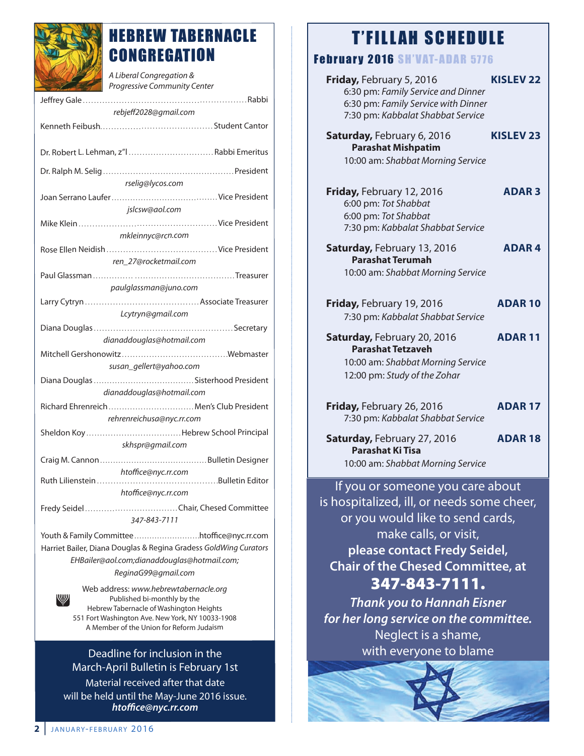

## HEBREW TABERNACLE **CONGREGATION**

| A Liberal Congregation &<br>Progressive Community Center                                                                               |
|----------------------------------------------------------------------------------------------------------------------------------------|
|                                                                                                                                        |
| rebjeff2028@gmail.com                                                                                                                  |
|                                                                                                                                        |
| Dr. Robert L. Lehman, z"l  Rabbi Emeritus                                                                                              |
|                                                                                                                                        |
| rselig@lycos.com                                                                                                                       |
|                                                                                                                                        |
| jslcsw@aol.com                                                                                                                         |
| mkleinnyc@rcn.com                                                                                                                      |
|                                                                                                                                        |
| ren 27@rocketmail.com                                                                                                                  |
|                                                                                                                                        |
| paulglassman@juno.com                                                                                                                  |
|                                                                                                                                        |
| Lcytryn@gmail.com                                                                                                                      |
|                                                                                                                                        |
| dianaddouglas@hotmail.com                                                                                                              |
|                                                                                                                                        |
| susan_gellert@yahoo.com                                                                                                                |
|                                                                                                                                        |
| dianaddouglas@hotmail.com                                                                                                              |
| Richard Ehrenreich  Men's Club President<br>rehrenreichusa@nyc.rr.com                                                                  |
| Sheldon KoyHebrew School Principal                                                                                                     |
| skhspr@gmail.com                                                                                                                       |
|                                                                                                                                        |
| htoffice@nyc.rr.com                                                                                                                    |
| Bulletin Editor<br>Ruth Lilienstein                                                                                                    |
| htoffice@nyc.rr.com                                                                                                                    |
| 347-843-7111                                                                                                                           |
| Youth & Family Committeehtoffice@nyc.rr.com                                                                                            |
| Harriet Bailer, Diana Douglas & Regina Gradess GoldWing Curators<br>EHBailer@aol.com;dianaddouglas@hotmail.com;<br>ReginaG99@gmail.com |
| Web address: www.hebrewtabernacle.org                                                                                                  |
| W<br>Published bi-monthly by the                                                                                                       |

Published bi-monthly by the hebrew Tabernacle of Washington heights 551 Fort Washington Ave. New York, NY 10033-1908 A Member of the Union for Reform Judaism

### Deadline for inclusion in the March-April Bulletin is February 1st

material received after that date will be held until the May-June 2016 issue. *htoffice@nyc.rr.com*

## **T'FILLAH SCHEDULE**

### Abruary 2016 Cu'unt anno 5776

| LUIU JII VAI AUI                                                                                                                           |                  |  |  |
|--------------------------------------------------------------------------------------------------------------------------------------------|------------------|--|--|
| Friday, February 5, 2016<br>6:30 pm: Family Service and Dinner<br>6:30 pm: Family Service with Dinner<br>7:30 pm: Kabbalat Shabbat Service | <b>KISLEV 22</b> |  |  |
| Saturday, February 6, 2016<br><b>Parashat Mishpatim</b><br>10:00 am: Shabbat Morning Service                                               | <b>KISLEV 23</b> |  |  |
| Friday, February 12, 2016<br>6:00 pm: Tot Shabbat<br>6:00 pm: Tot Shabbat<br>7:30 pm: Kabbalat Shabbat Service                             | <b>ADAR3</b>     |  |  |
| Saturday, February 13, 2016<br><b>Parashat Terumah</b><br>10:00 am: Shabbat Morning Service                                                | <b>ADAR4</b>     |  |  |
| Friday, February 19, 2016<br>7:30 pm: Kabbalat Shabbat Service                                                                             | <b>ADAR10</b>    |  |  |
| Saturday, February 20, 2016<br><b>Parashat Tetzaveh</b><br>10:00 am: Shabbat Morning Service<br>12:00 pm: Study of the Zohar               | <b>ADAR11</b>    |  |  |
| Friday, February 26, 2016<br>7:30 pm: Kabbalat Shabbat Service                                                                             | <b>ADAR 17</b>   |  |  |
| Saturday, February 27, 2016<br><b>Parashat Ki Tisa</b><br>10:00 am: Shabbat Morning Service                                                | <b>ADAR18</b>    |  |  |
| If you or someone you care about<br>is hospitalized, ill, or needs some cheer,                                                             |                  |  |  |

or you would like to send cards, make calls, or visit, **please contact Fredy Seidel, Chair of the Chesed Committee, at 347-843-7111.**

*Thank you to Hannah Eisner for her long service on the committee.* Neglect is a shame, with everyone to blame

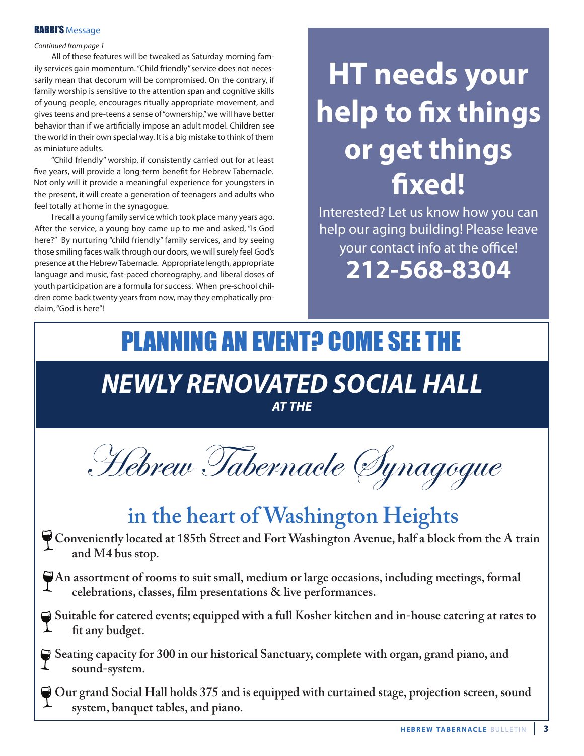### **RABBI'S Message**

### Continued from page 1

all of these features will be tweaked as Saturday morning family services gain momentum. "Child friendly" service does not necessarily mean that decorum will be compromised. On the contrary, if family worship is sensitive to the attention span and cognitive skills of young people, encourages ritually appropriate movement, and gives teens and pre-teens a sense of "ownership," we will have better behavior than if we artificially impose an adult model. Children see the world in their own special way. It is a big mistake to think of them as miniature adults.

"Child friendly" worship, if consistently carried out for at least five years, will provide a long-term benefit for hebrew Tabernacle. Not only will it provide a meaningful experience for youngsters in the present, it will create a generation of teenagers and adults who feel totally at home in the synagogue.

I recall a young family service which took place many years ago. after the service, a young boy came up to me and asked, "Is God here?" By nurturing "child friendly" family services, and by seeing those smiling faces walk through our doors, we will surely feel God's presence at the Hebrew Tabernacle. Appropriate length, appropriate language and music, fast-paced choreography, and liberal doses of youth participation are a formula for success. When pre-school children come back twenty years from now, may they emphatically proclaim, "God is here"!

# **hT needs your help to fix things or get things fixed!**

Interested? let us know how you can help our aging building! Please leave your contact info at the office! **212-568-8304**

# *NEWLY RENOVATED SOCIAL HALL* PLANNING AN EVENT? COME SEE THE

*AT THE*



# **in the heart of Washington Heights**

- **Conveniently located at 185th Street and Fort Washington Avenue, half a block from the A train and M4 bus stop.**
- **An assortment of rooms to suit small, medium or large occasions, including meetings, formal celebrations, classes, film presentations & live performances.**
- **Suitable for catered events; equipped with a full Kosher kitchen and in-house catering at rates to fit any budget.**
- Seating capacity for 300 in our historical Sanctuary, complete with organ, grand piano, and **sound-system.**

**Our grand Social Hall holds 375 and is equipped with curtained stage, projection screen, sound system, banquet tables, and piano.**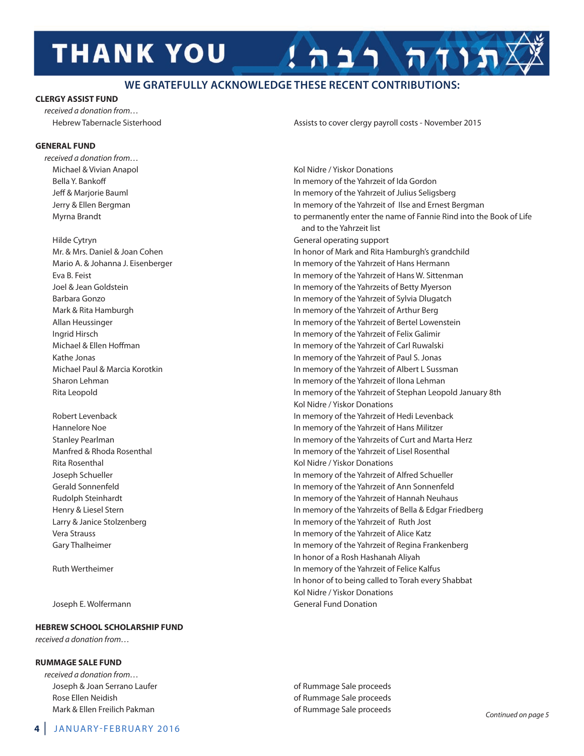# **THANK YOU**

### **WE GRATEFULLY ACKNOWLEDGE THESE RECENT CONTRIBUTIONS:**

### **cLerGY aSSiST FUnD**

received a donation from…

### **GeneraL FUnD**

received a donation from…

Joseph E. Wolfermann General Fund Donation

### **heBrew SchOOL SchOLarShiP FUnD**

received a donation from…

### **rUMMaGe SaLe FUnD**

received a donation from… Joseph & Joan Serrano Laufer **of rummage Sale proceeds** of Rummage Sale proceeds rose ellen neidish of rummage Sale proceeds Mark & Ellen Freilich Pakman and a state of Rummage Sale proceeds

hebrew Tabernacle Sisterhood assists to cover clergy payroll costs - november 2015

תודה רבה!

michael & vivian anapol Kol nidre / yiskor donations bella y. bankoff In memory of the yahrzeit of Ida Gordon Jeff & marjorie bauml In memory of the yahrzeit of Julius Seligsberg Jerry & Ellen Bergman **In memory of the Yahrzeit of Ilse and Ernest Bergman** In memory of the Yahrzeit of Ilse and Ernest Bergman myrna brandt to permanently enter the name of fannie rind into the book of life and to the Yahrzeit list hilde Cytryn General operating support Mr. & Mrs. Daniel & Joan Cohen In honor of Mark and Rita Hamburgh's grandchild Mario A. & Johanna J. Eisenberger **In memory of the Yahrzeit of Hans Hermann** eva b. feist In memory of the yahrzeit of hans W. Sittenman Joel & Jean Goldstein In memory of the yahrzeits of betty myerson Barbara Gonzo **In memory of the Yahrzeit of Sylvia Dlugatch In memory of the Yahrzeit of Sylvia Dlugatch** mark & rita hamburgh In memory of the yahrzeit of arthur berg allan heussinger In memory of the yahrzeit of bertel lowenstein Ingrid hirsch In memory of the yahrzeit of felix Galimir michael & Ellen Hoffman **In memory of the Yahrzeit of Carl Ruwalski**n memory of the Yahrzeit of Carl Ruwalski Kathe Jonas In memory of the yahrzeit of Paul S. Jonas michael Paul & marcia Korotkin In memory of the yahrzeit of albert l Sussman Sharon Lehman **In memory of the Yahrzeit of Ilona Lehman** rita leopold In memory of the yahrzeit of Stephan leopold January 8th Kol Nidre / Yiskor Donations Robert Levenback **In memory of the Yahrzeit of Hedi Levenback** In memory of the Yahrzeit of Hedi Levenback hannelore noe In memory of the yahrzeit of hans militzer Stanley Pearlman **In memory of the Yahrzeits of Curt and Marta Herz In memory of the Yahrzeits of Curt and Marta Herz** Manfred & Rhoda Rosenthal **In memory of the Yahrzeit of Lisel Rosenthal** In memory of the Yahrzeit of Lisel Rosenthal Rita Rosenthal **Rita Rosenthal** Kol Nidre / Yiskor Donations Joseph Schueller In memory of the yahrzeit of alfred Schueller Gerald Sonnenfeld In memory of the yahrzeit of ann Sonnenfeld Rudolph Steinhardt **In memory of the Yahrzeit of Hannah Neuhaus** In memory of the Yahrzeit of Hannah Neuhaus henry & liesel Stern In memory of the yahrzeits of bella & edgar friedberg Larry & Janice Stolzenberg **In memory of the Yahrzeit of Ruth Jost** vera Strauss In memory of the yahrzeit of alice Katz Gary Thalheimer **In memory of the Yahrzeit of Regina Frankenberg** In memory of the Yahrzeit of Regina Frankenberg In honor of a Rosh Hashanah Aliyah Ruth Wertheimer **In memory of the Yahrzeit of Felice Kalfus** In memory of the Yahrzeit of Felice Kalfus In honor of to being called to Torah every Shabbat Kol Nidre / Yiskor Donations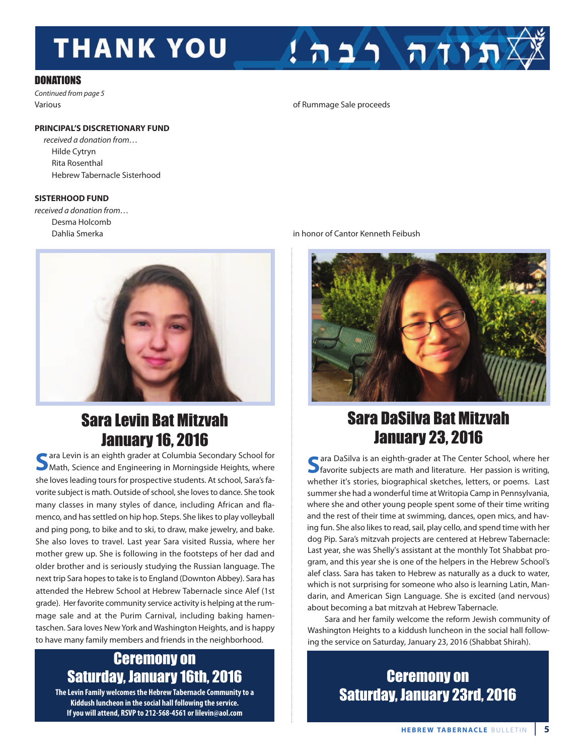# **THANK YOU**

### **DONATIONS**

Continued from page 5

### **PrinciPaL'S DiScreTiOnarY FUnD**

received a donation from… hilde Cytryn Rita Rosenthal hebrew Tabernacle Sisterhood

### **SiSTerhOOD FUnD**

received a donation from… Desma Holcomb



# Sara Levin Bat Mitzvah January 16, 2016<br>ara Levin is an eighth grader at Columbia Secondary School for

**S**ara Levin is an eighth grader at Columbia Secondary School for<br>Math, Science and Engineering in Morningside Heights, where she loves leading tours for prospective students. At school, Sara's favorite subject is math. Outside of school, she loves to dance. She took many classes in many styles of dance, including african and flamenco, and has settled on hip hop. Steps. She likes to play volleyball and ping pong, to bike and to ski, to draw, make jewelry, and bake. She also loves to travel. Last year Sara visited Russia, where her mother grew up. She is following in the footsteps of her dad and older brother and is seriously studying the Russian language. The next trip Sara hopes to take is to England (Downton Abbey). Sara has attended the hebrew School at hebrew Tabernacle since alef (1st grade). Her favorite community service activity is helping at the rummage sale and at the Purim Carnival, including baking hamentaschen. Sara loves New York and Washington Heights, and is happy to have many family members and friends in the neighborhood.

### Ceremony on Saturday, January 16th, 2016

**The Levin Family welcomes the Hebrew Tabernacle Community to a Kiddush luncheon in the social hall following the service. If you will attend, RSVP to 212-568-4561 or lilevin@aol.com**

various of rummage Sale proceeds

### dahlia Smerka in honor of Cantor Kenneth feibush



 $1$ הווה רבה!

## Sara DaSilva Bat Mitzvah January 23, 2016

**S**ara DaSilva is an eighth-grader at The Center School, where her<br>**S**<br>favorite subjects are math and literature. Her passion is writing, whether it's stories, biographical sketches, letters, or poems. last summer she had a wonderful time at Writopia Camp in Pennsylvania, where she and other young people spent some of their time writing and the rest of their time at swimming, dances, open mics, and having fun. She also likes to read, sail, play cello, and spend time with her dog Pip. Sara's mitzvah projects are centered at hebrew Tabernacle: last year, she was Shelly's assistant at the monthly Tot Shabbat program, and this year she is one of the helpers in the hebrew School's alef class. Sara has taken to Hebrew as naturally as a duck to water, which is not surprising for someone who also is learning Latin, Mandarin, and American Sign Language. She is excited (and nervous) about becoming a bat mitzvah at Hebrew Tabernacle.

Sara and her family welcome the reform Jewish community of Washington Heights to a kiddush luncheon in the social hall following the service on Saturday, January 23, 2016 (Shabbat Shirah).

### Ceremony on Saturday, January 23rd, 2016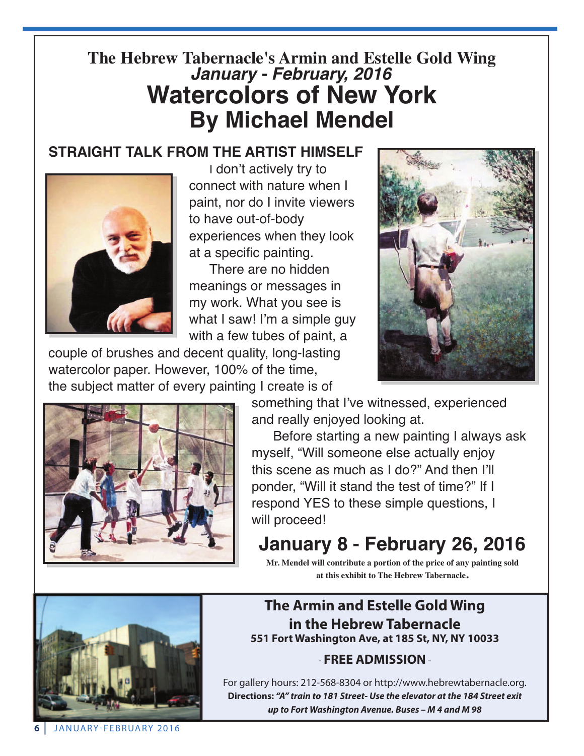## **The Hebrew Tabernacle's Armin and Estelle Gold Wing** *January - February, 2016* **Watercolors of New York By Michael Mendel**

### **STRAIGHT TALK FROM THE ARTIST HIMSELF**



I don't actively try to connect with nature when I paint, nor do I invite viewers to have out-of-body experiences when they look at a specific painting.

There are no hidden meanings or messages in my work. What you see is what I saw! I'm a simple guy with a few tubes of paint, a

couple of brushes and decent quality, long-lasting watercolor paper. However, 100% of the time, the subject matter of every painting I create is of



something that I've witnessed, experienced and really enjoyed looking at.

Before starting a new painting I always ask myself, "Will someone else actually enjoy this scene as much as I do?" And then I'll ponder, "Will it stand the test of time?" If I respond YES to these simple questions, I will proceed!

**January 8 - February 26, 2016**

**Mr. Mendel will contribute a portion of the price of any painting sold at this exhibit to The Hebrew Tabernacle.**



### **The armin and estelle Gold wing in the hebrew Tabernacle 551 Fort washington ave, at 185 St, nY, nY 10033**

### - **Free aDMiSSiOn**-

for gallery hours: 212-568-8304 or http://www.hebrewtabernacle.org. **Directions:** *"A" train to 181 Street- Use the elevator at the 184 Street exit up to Fort Washington Avenue. Buses – M 4 and M 98*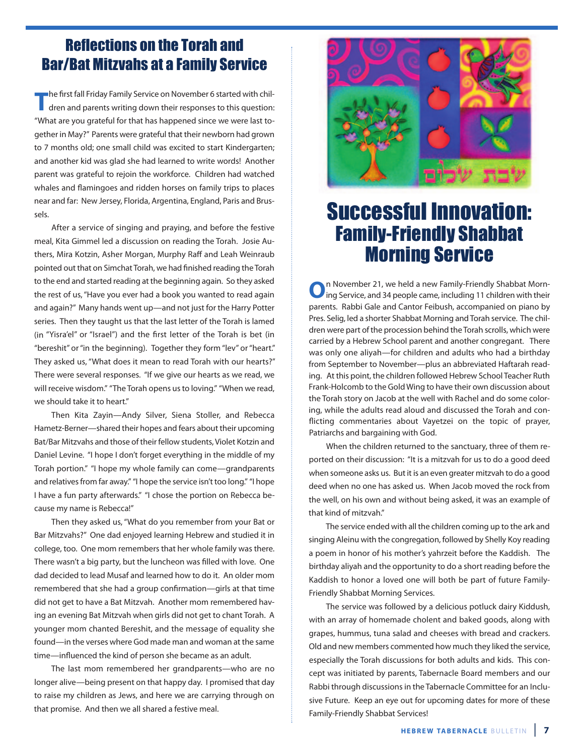### Reflections on the Torah and Bar/Bat Mitzvahs at a Family Service

**The first fall Friday Family Service on November 6 started with chil**dren and parents writing down their responses to this question: "What are you grateful for that has happened since we were last together in May?" Parents were grateful that their newborn had grown to 7 months old; one small child was excited to start Kindergarten; and another kid was glad she had learned to write words! Another parent was grateful to rejoin the workforce. Children had watched whales and flamingoes and ridden horses on family trips to places near and far: New Jersey, Florida, Argentina, England, Paris and Brussels.

after a service of singing and praying, and before the festive meal, Kita Gimmel led a discussion on reading the Torah. Josie Authers, Mira Kotzin, Asher Morgan, Murphy Raff and Leah Weinraub pointed out that on Simchat Torah, we had finished reading the Torah to the end and started reading at the beginning again. So they asked the rest of us, "have you ever had a book you wanted to read again and again?" Many hands went up—and not just for the Harry Potter series. Then they taught us that the last letter of the Torah is lamed (in "yisra'el" or "Israel") and the first letter of the Torah is bet (in "bereshit" or "in the beginning). Together they form "lev" or "heart." They asked us, "What does it mean to read Torah with our hearts?" There were several responses. "If we give our hearts as we read, we will receive wisdom." "The Torah opens us to loving." "When we read, we should take it to heart."

Then Kita Zayin-Andy Silver, Siena Stoller, and Rebecca hametz-berner—shared their hopes and fears about their upcoming bat/bar mitzvahs and those of their fellow students, violet Kotzin and Daniel Levine. "I hope I don't forget everything in the middle of my Torah portion." "I hope my whole family can come—grandparents and relatives from far away." "I hope the service isn't too long." "I hope I have a fun party afterwards." "I chose the portion on Rebecca because my name is Rebecca!"

Then they asked us, "What do you remember from your Bat or Bar Mitzvahs?" One dad enjoyed learning Hebrew and studied it in college, too. One mom remembers that her whole family was there. There wasn't a big party, but the luncheon was filled with love. One dad decided to lead Musaf and learned how to do it. An older mom remembered that she had a group confirmation—girls at that time did not get to have a Bat Mitzvah. Another mom remembered having an evening Bat Mitzvah when girls did not get to chant Torah. A younger mom chanted bereshit, and the message of equality she found—in the verses where God made man and woman at the same time—influenced the kind of person she became as an adult.

The last mom remembered her grandparents—who are no longer alive—being present on that happy day. I promised that day to raise my children as Jews, and here we are carrying through on that promise. And then we all shared a festive meal.



## Successful Innovation: Family-Friendly Shabbat Morning Service

**O**n November 21, we held a new Family-Friendly Shabbat Morn-<br>ing Service, and 34 people came, including 11 children with their parents. Rabbi Gale and Cantor Feibush, accompanied on piano by Pres. Selig, led a shorter Shabbat Morning and Torah service. The children were part of the procession behind the Torah scrolls, which were carried by a hebrew School parent and another congregant. There was only one aliyah—for children and adults who had a birthday from September to November—plus an abbreviated Haftarah reading. At this point, the children followed Hebrew School Teacher Ruth frank-holcomb to the Gold Wing to have their own discussion about the Torah story on Jacob at the well with Rachel and do some coloring, while the adults read aloud and discussed the Torah and conflicting commentaries about Vayetzei on the topic of prayer, Patriarchs and bargaining with God.

When the children returned to the sanctuary, three of them reported on their discussion: "It is a mitzvah for us to do a good deed when someone asks us. But it is an even greater mitzvah to do a good deed when no one has asked us. When Jacob moved the rock from the well, on his own and without being asked, it was an example of that kind of mitzvah."

The service ended with all the children coming up to the ark and singing Aleinu with the congregation, followed by Shelly Koy reading a poem in honor of his mother's yahrzeit before the Kaddish. The birthday aliyah and the opportunity to do a short reading before the Kaddish to honor a loved one will both be part of future family-Friendly Shabbat Morning Services.

The service was followed by a delicious potluck dairy Kiddush, with an array of homemade cholent and baked goods, along with grapes, hummus, tuna salad and cheeses with bread and crackers. old and new members commented how much they liked the service, especially the Torah discussions for both adults and kids. This concept was initiated by parents, Tabernacle board members and our Rabbi through discussions in the Tabernacle Committee for an Inclusive future. Keep an eye out for upcoming dates for more of these family-friendly Shabbat Services!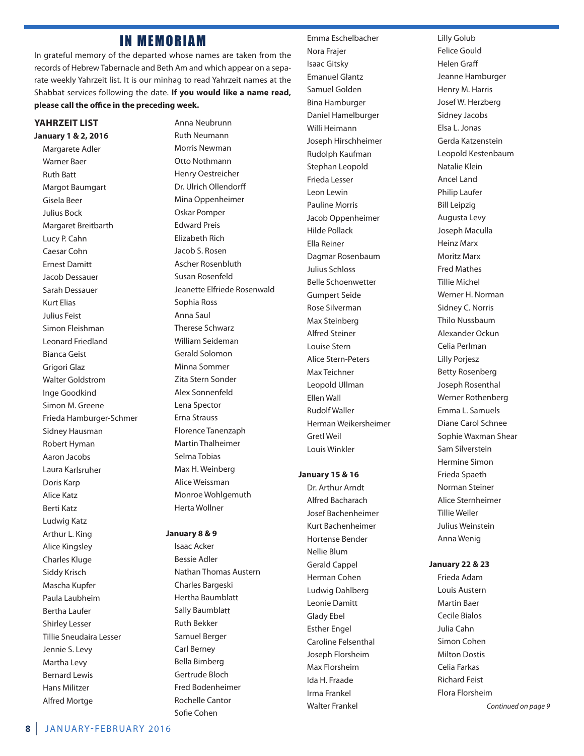### **IN MEMORIAM**

In grateful memory of the departed whose names are taken from the records of Hebrew Tabernacle and Beth Am and which appear on a separate weekly Yahrzeit list. It is our minhag to read Yahrzeit names at the Shabbat services following the date. **if you would like a name read, please call the office in the preceding week.**

### **YahrzeiT LiST**

**January 1 & 2, 2016** Margarete Adler Warner baer **Ruth Batt Margot Baumgart** Gisela beer Julius bock Margaret Breitbarth lucy P. Cahn Caesar Cohn **Ernest Damitt** Jacob dessauer Sarah Dessauer **Kurt Elias** Julius feist Simon fleishman leonard friedland bianca Geist Grigori Glaz Walter Goldstrom Inge Goodkind Simon M. Greene frieda hamburger-Schmer Sidney Hausman **Robert Hyman** aaron Jacobs laura Karlsruher Doris Karp alice Katz berti Katz ludwig Katz Arthur L. King alice Kingsley Charles Kluge Siddy Krisch Mascha Kupfer Paula laubheim bertha laufer Shirley lesser Tillie Sneudaira lesser Jennie S. levy Martha Levy bernard lewis **Hans Militzer** alfred mortge

Anna Neubrunn **Ruth Neumann** Morris Newman Otto Nothmann henry oestreicher Dr. Ulrich Ollendorff Mina Oppenheimer oskar Pomper **Edward Preis Elizabeth Rich** Jacob S. Rosen Ascher Rosenbluth Susan Rosenfeld Jeanette Elfriede Rosenwald Sophia Ross anna Saul Therese Schwarz William Seideman Gerald Solomon Minna Sommer Zita Stern Sonder alex Sonnenfeld lena Spector **Erna Strauss** florence Tanenzaph **Martin Thalheimer** Selma Tobias Max H. Weinberg alice Weissman Monroe Wohlgemuth herta Wollner

### **January 8 & 9**

Isaac Acker bessie adler Nathan Thomas Austern Charles bargeski hertha baumblatt Sally Baumblatt **Ruth Bekker** Samuel Berger Carl Berney bella bimberg Gertrude bloch fred bodenheimer Rochelle Cantor Sofie Cohen

Emma Eschelbacher Nora Frajer Isaac Gitsky **Emanuel Glantz** Samuel Golden **Bina Hamburger** Daniel Hamelburger Willi Heimann Joseph Hirschheimer **Rudolph Kaufman** Stephan leopold frieda lesser leon lewin Pauline Morris Jacob oppenheimer hilde Pollack Ella Reiner Dagmar Rosenbaum Julius Schloss belle Schoenwetter Gumpert Seide Rose Silverman Max Steinberg alfred Steiner louise Stern alice Stern-Peters Max Teichner Leopold Ullman **Ellen Wall Rudolf Waller** herman Weikersheimer Gretl Weil louis Winkler

#### **January 15 & 16**

Dr. Arthur Arndt alfred bacharach Josef bachenheimer Kurt bachenheimer hortense bender nellie blum Gerald Cappel herman Cohen Ludwig Dahlberg Leonie Damitt Glady ebel **Esther Engel** Caroline felsenthal Joseph florsheim Max Florsheim Ida h. fraade Irma frankel Walter frankel

Lilly Golub felice Gould helen Graff Jeanne Hamburger Henry M. Harris Josef W. herzberg Sidney Jacobs elsa l. Jonas Gerda Katzenstein leopold Kestenbaum natalie Klein ancel land Philip laufer bill leipzig Augusta Levy Joseph maculla **Heinz Marx Moritz Marx Fred Mathes Tillie Michel** Werner H. Norman Sidney C. Norris Thilo Nussbaum alexander ockun Celia Perlman lilly Porjesz **Betty Rosenberg** Joseph Rosenthal Werner Rothenberg Emma L. Samuels Diane Carol Schnee Sophie Waxman Shear Sam Silverstein hermine Simon frieda Spaeth Norman Steiner alice Sternheimer Tillie Weiler Julius Weinstein anna Wenig

#### **January 22 & 23**

Frieda Adam Louis Austern **Martin Baer** Cecile bialos Julia Cahn Simon Cohen **Milton Dostis** Celia farkas **Richard Feist** flora florsheim Continued on page 9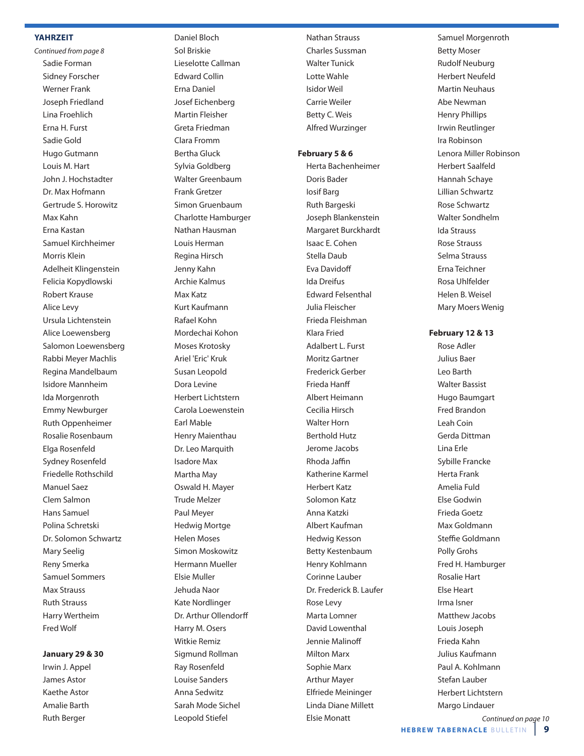#### **YahrzeiT**

Continued from page 8 Sadie forman Sidney forscher Werner frank Joseph friedland lina froehlich Erna H. Furst Sadie Gold hugo Gutmann Louis M. Hart John J. Hochstadter Dr. Max Hofmann Gertrude S. horowitz max Kahn erna Kastan Samuel Kirchheimer morris Klein adelheit Klingenstein felicia Kopydlowski **Robert Krause** alice levy Ursula Lichtenstein alice loewensberg Salomon loewensberg Rabbi Meyer Machlis Regina Mandelbaum Isidore mannheim Ida Morgenroth **Emmy Newburger Ruth Oppenheimer** Rosalie Rosenbaum Elga Rosenfeld Sydney Rosenfeld Friedelle Rothschild Manuel Saez Clem Salmon hans Samuel Polina Schretski Dr. Solomon Schwartz Mary Seelig Reny Smerka Samuel Sommers **Max Strauss Ruth Strauss** harry Wertheim fred Wolf

#### **January 29 & 30**

Irwin J. Appel James Astor Kaethe Astor amalie barth **Ruth Berger** 

Daniel Bloch Sol Briskie lieselotte Callman **Fdward Collin** Erna Daniel Josef Eichenberg **Martin Fleisher** Greta friedman Clara fromm bertha Gluck Sylvia Goldberg Walter Greenbaum frank Gretzer Simon Gruenbaum Charlotte hamburger Nathan Hausman Louis Herman Regina Hirsch Jenny Kahn archie Kalmus max Katz Kurt Kaufmann Rafael Kohn mordechai Kohon moses Krotosky Ariel 'Eric' Kruk Susan leopold Dora Levine herbert lichtstern Carola loewenstein Earl Mable Henry Maienthau Dr. Leo Marquith Isadore max Martha May oswald h. mayer Trude melzer Paul Meyer **Hedwig Mortge** helen moses Simon Moskowitz hermann mueller Elsie Muller Jehuda Naor Kate Nordlinger Dr. Arthur Ollendorff Harry M. Osers Witkie Remiz Sigmund Rollman Ray Rosenfeld louise Sanders anna Sedwitz Sarah mode Sichel

leopold Stiefel

**Nathan Strauss** Charles Sussman Walter Tunick lotte Wahle Isidor Weil Carrie Weiler Betty C. Weis alfred Wurzinger

#### **February 5 & 6**

herta bachenheimer Doris Bader Iosif barg **Ruth Bargeski** Joseph blankenstein margaret burckhardt Isaac E. Cohen Stella Daub Eva Davidoff Ida Dreifus **Edward Felsenthal** Julia fleischer frieda fleishman Klara fried adalbert l. furst Moritz Gartner frederick Gerber frieda hanff albert heimann Cecilia Hirsch Walter horn **Berthold Hutz** Jerome Jacobs Rhoda Jaffin Katherine Karmel herbert Katz Solomon Katz anna Katzki albert Kaufman hedwig Kesson betty Kestenbaum henry Kohlmann Corinne lauber Dr. Frederick B. Laufer Rose Levy Marta Lomner David Lowenthal Jennie Malinoff **Milton Marx** Sophie Marx **Arthur Mayer** elfriede meininger Linda Diane Millett Elsie Monatt

Samuel Morgenroth **Betty Moser Rudolf Neuburg** herbert neufeld **Martin Neuhaus** Abe Newman henry Phillips Irwin Reutlinger Ira Robinson Lenora Miller Robinson herbert Saalfeld hannah Schaye lillian Schwartz **Rose Schwartz** Walter Sondhelm Ida Strauss **Rose Strauss** Selma Strauss Erna Teichner rosa uhlfelder Helen B. Weisel Mary Moers Wenig

#### **February 12 & 13**

Rose Adler Julius baer leo barth Walter Bassist hugo baumgart fred brandon leah Coin Gerda Dittman lina erle Sybille francke herta frank amelia fuld Else Godwin frieda Goetz max Goldmann Steffie Goldmann Polly Grohs Fred H. Hamburger **Rosalie Hart Else Heart** Irma Isner matthew Jacobs louis Joseph frieda Kahn Julius Kaufmann Paul A. Kohlmann Stefan lauber herbert lichtstern Margo Lindauer Continued on page 10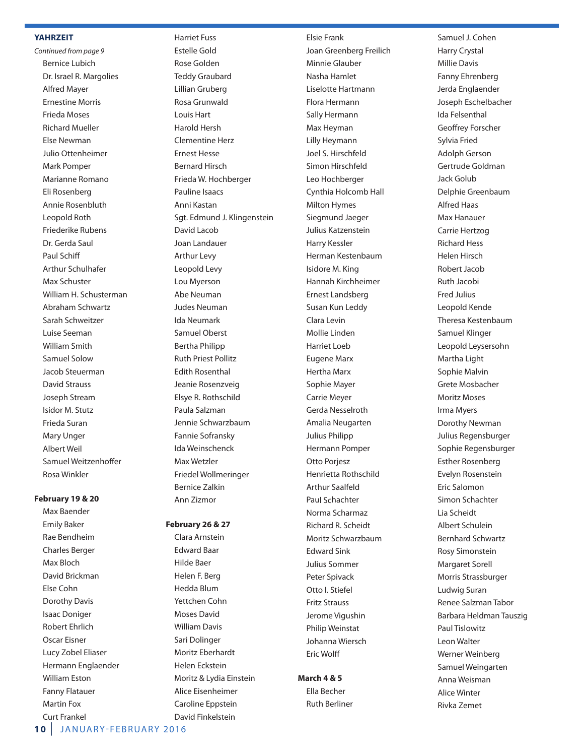#### **YahrzeiT**

Continued from page 9 bernice lubich Dr. Israel R. Margolies alfred mayer **Ernestine Morris** frieda moses **Richard Mueller** Else Newman Julio ottenheimer Mark Pomper Marianne Romano Eli Rosenberg Annie Rosenbluth Leopold Roth Friederike Rubens Dr. Gerda Saul Paul Schiff arthur Schulhafer Max Schuster William H. Schusterman abraham Schwartz Sarah Schweitzer luise Seeman William Smith Samuel Solow Jacob Steuerman David Strauss Joseph Stream Isidor m. Stutz frieda Suran **Mary Unger** albert Weil Samuel Weitzenhoffer **Rosa Winkler** 

### **February 19 & 20**

Max Baender **Emily Baker** Rae Bendheim Charles berger Max Bloch David Brickman else Cohn Dorothy Davis **Isaac Doniger Robert Ehrlich** Oscar Eisner Lucy Zobel Eliaser Hermann Englaender **William Eston** fanny flatauer Martin Fox Curt frankel

harriet fuss Estelle Gold Rose Golden Teddy Graubard lillian Gruberg Rosa Grunwald louis hart harold hersh Clementine herz **Ernest Hesse Bernard Hirsch** frieda W. hochberger Pauline Isaacs anni Kastan Sgt. Edmund J. Klingenstein David Lacob Joan landauer arthur levy leopold levy Lou Myerson **Abe Neuman** Judes Neuman Ida Neumark Samuel oberst bertha Philipp **Ruth Priest Pollitz Fdith Rosenthal** Jeanie Rosenzveig Elsye R. Rothschild Paula Salzman Jennie Schwarzbaum fannie Sofransky Ida Weinschenck max Wetzler friedel Wollmeringer bernice Zalkin ann Zizmor

### **February 26 & 27**

Clara Arnstein **Edward Baar** hilde baer helen f. berg hedda blum yettchen Cohn Moses David **William Davis** Sari Dolinger Moritz Eberhardt Helen Eckstein Moritz & Lydia Einstein Alice Eisenheimer Caroline Eppstein David Finkelstein

#### **Elsie Frank**

Joan Greenberg freilich Minnie Glauber Nasha Hamlet liselotte hartmann Flora Hermann Sally hermann Max Heyman lilly heymann Joel S. hirschfeld Simon Hirschfeld leo hochberger Cynthia Holcomb Hall **Milton Hymes** Siegmund Jaeger Julius Katzenstein harry Kessler herman Kestenbaum Isidore m. King hannah Kirchheimer Ernest Landsberg Susan Kun leddy Clara levin mollie linden harriet loeb Eugene Marx Hertha Marx Sophie Mayer Carrie Meyer Gerda Nesselroth Amalia Neugarten Julius Philipp hermann Pomper Otto Porjesz Henrietta Rothschild arthur Saalfeld Paul Schachter Norma Scharmaz Richard R. Scheidt moritz Schwarzbaum **Edward Sink** Julius Sommer Peter Spivack otto I. Stiefel fritz Strauss Jerome vigushin Philip Weinstat Johanna Wiersch **Eric Wolff** 

### **March 4 & 5**

Ella Becher **Ruth Berliner** 

Samuel J. Cohen harry Crystal **Millie Davis** Fanny Ehrenberg Jerda Englaender Joseph Eschelbacher Ida felsenthal Geoffrey forscher Sylvia fried adolph Gerson Gertrude Goldman Jack Golub Delphie Greenbaum alfred haas Max Hanauer Carrie hertzog **Richard Hess** helen hirsch Robert Jacob **Ruth Jacobi** fred Julius leopold Kende Theresa Kestenbaum Samuel Klinger leopold leysersohn Martha Light Sophie Malvin Grete mosbacher **Moritz Moses** Irma Myers Dorothy Newman Julius Regensburger Sophie Regensburger Esther Rosenberg Evelyn Rosenstein Eric Salomon Simon Schachter lia Scheidt albert Schulein bernhard Schwartz **Rosy Simonstein** Margaret Sorell Morris Strassburger ludwig Suran Renee Salzman Tabor barbara heldman Tauszig Paul Tislowitz leon Walter Werner Weinberg Samuel Weingarten anna Weisman alice Winter Rivka Zemet

**10** JANUARY-FEBRUARY 2016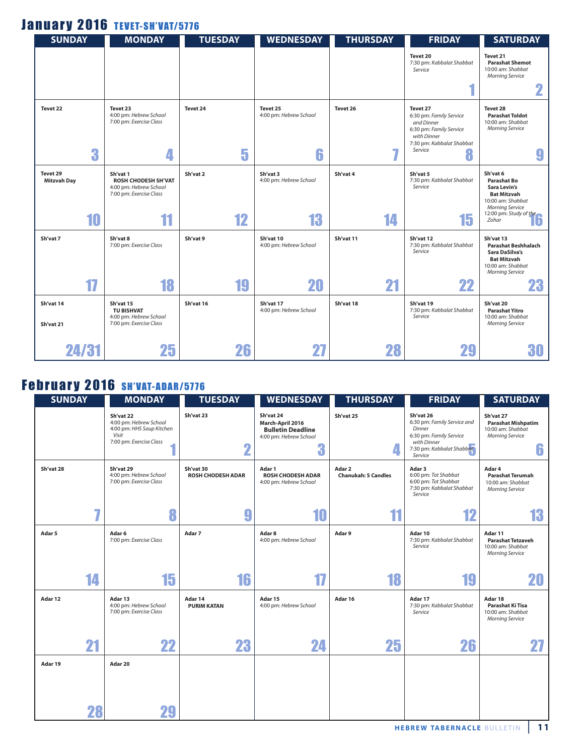### January 2016 TEVET-SH'VAT/5776

| <b>SUNDAY</b>                  | <b>MONDAY</b>                                                                               | <b>TUESDAY</b> | <b>WEDNESDAY</b>                        | <b>THURSDAY</b> | <b>FRIDAY</b>                                                                                                                            | <b>SATURDAY</b>                                                                                                                |
|--------------------------------|---------------------------------------------------------------------------------------------|----------------|-----------------------------------------|-----------------|------------------------------------------------------------------------------------------------------------------------------------------|--------------------------------------------------------------------------------------------------------------------------------|
|                                |                                                                                             |                |                                         |                 | Tevet 20<br>7:30 pm: Kabbalat Shabbat<br>Service                                                                                         | Tevet 21<br><b>Parashat Shemot</b><br>10:00 am: Shabbat<br><b>Morning Service</b>                                              |
|                                |                                                                                             |                |                                         |                 |                                                                                                                                          | 2                                                                                                                              |
| Tevet 22<br>3                  | Tevet 23<br>4:00 pm: Hebrew School<br>7:00 pm: Exercise Class<br>4                          | Tevet 24<br>5  | Tevet 25<br>4:00 pm: Hebrew School<br>6 | Tevet 26        | Tevet 27<br>6:30 pm: Family Service<br>and Dinner<br>6:30 pm: Family Service<br>with Dinner<br>7:30 pm: Kabbalat Shabbat<br>Service<br>8 | Tevet 28<br><b>Parashat Toldot</b><br>10:00 am: Shabbat<br><b>Morning Service</b><br>9                                         |
| Tevet 29<br><b>Mitzvah Day</b> | Sh'vat 1<br><b>ROSH CHODESH SH'VAT</b><br>4:00 pm: Hebrew School<br>7:00 pm: Exercise Class | Sh'vat 2       | Sh'vat 3<br>4:00 pm: Hebrew School      | Sh'vat 4        | Sh'vat 5<br>7:30 pm: Kabbalat Shabbat<br>Service                                                                                         | Sh'vat 6<br><b>Parashat Bo</b><br><b>Sara Levin's</b><br><b>Bat Mitzvah</b><br>10:00 am: Shabbat<br><b>Morning Service</b>     |
| 10                             | 11                                                                                          | 12             | 13                                      | 14              | 15                                                                                                                                       | 12:00 pm: Study of the<br>Zohar                                                                                                |
| Sh'vat 7                       | Sh'vat 8<br>7:00 pm: Exercise Class                                                         | Sh'vat 9       | Sh'vat 10<br>4:00 pm: Hebrew School     | Sh'vat 11       | Sh'vat 12<br>7:30 pm: Kabbalat Shabbat<br>Service                                                                                        | Sh'vat 13<br><b>Parashat Beshhalach</b><br>Sara DaSilva's<br><b>Bat Mitzvah</b><br>10:00 am: Shabbat<br><b>Morning Service</b> |
| 17                             | 18                                                                                          | 19             | 20                                      | 21              | 22                                                                                                                                       | 23                                                                                                                             |
| Sh'vat 14<br>Sh'vat 21         | Sh'vat 15<br><b>TU BISHVAT</b><br>4:00 pm: Hebrew School<br>7:00 pm: Exercise Class         | Sh'vat 16      | Sh'vat 17<br>4:00 pm: Hebrew School     | Sh'vat 18       | Sh'vat 19<br>7:30 pm: Kabbalat Shabbat<br>Service                                                                                        | Sh'vat 20<br><b>Parashat Yitro</b><br>10:00 am: Shabbat<br><b>Morning Service</b>                                              |
| 24/31                          | 25                                                                                          | 26             | 27                                      | 28              |                                                                                                                                          | 30                                                                                                                             |

## **February 2016 SH'VAT-ADAR/5776**

| <b>SUNDAY</b>     |    | <b>MONDAY</b>                                                                                        | <b>TUESDAY</b>                        | <b>WEDNESDAY</b>                                                                         | <b>THURSDAY</b>                      | <b>FRIDAY</b>                                                                                                                        | <b>SATURDAY</b>                                                                            |
|-------------------|----|------------------------------------------------------------------------------------------------------|---------------------------------------|------------------------------------------------------------------------------------------|--------------------------------------|--------------------------------------------------------------------------------------------------------------------------------------|--------------------------------------------------------------------------------------------|
|                   |    | Sh'vat 22<br>4:00 pm: Hebrew School<br>4:00 pm: HHS Soup Kitchen<br>Visit<br>7:00 pm: Exercise Class | Sh'vat 23<br>2                        | Sh'vat 24<br>March-April 2016<br><b>Bulletin Deadline</b><br>4:00 pm: Hebrew School<br>3 | Sh'vat 25                            | Sh'vat 26<br>6:30 pm: Family Service and<br>Dinner<br>6:30 pm: Family Service<br>with Dinner<br>7:30 pm: Kabbalat Shabbat<br>Service | Sh'vat 27<br><b>Parashat Mishpatim</b><br>10:00 am: Shabbat<br><b>Morning Service</b><br>6 |
| Sh'vat 28         |    | Sh'vat 29<br>4:00 pm: Hebrew School<br>7:00 pm: Exercise Class                                       | Sh'vat 30<br><b>ROSH CHODESH ADAR</b> | Adar 1<br><b>ROSH CHODESH ADAR</b><br>4:00 pm: Hebrew School                             | Adar 2<br><b>Chanukah: 5 Candles</b> | Adar 3<br>6:00 pm: Tot Shabbat<br>6:00 pm: Tot Shabbat<br>7:30 pm: Kabbalat Shabbat<br>Service                                       | Adar 4<br><b>Parashat Terumah</b><br>10:00 am: Shabbat<br><b>Morning Service</b>           |
|                   | 7  | 8                                                                                                    | 9                                     | 10                                                                                       | 11                                   | 12                                                                                                                                   | 13                                                                                         |
| Adar <sub>5</sub> |    | Adar 6<br>7:00 pm: Exercise Class                                                                    | Adar 7                                | Adar 8<br>4:00 pm: Hebrew School                                                         | Adar 9                               | Adar 10<br>7:30 pm: Kabbalat Shabbat<br>Service                                                                                      | Adar 11<br><b>Parashat Tetzaveh</b><br>10:00 am: Shabbat<br><b>Morning Service</b>         |
|                   | 14 | 15                                                                                                   | 16                                    | 17                                                                                       | 18                                   | 19                                                                                                                                   | 20                                                                                         |
| Adar 12           |    | Adar 13<br>4:00 pm: Hebrew School<br>7:00 pm: Exercise Class                                         | Adar 14<br><b>PURIM KATAN</b>         | Adar 15<br>4:00 pm: Hebrew School                                                        | Adar 16                              | Adar 17<br>7:30 pm: Kabbalat Shabbat<br>Service                                                                                      | Adar 18<br>Parashat Ki Tisa<br>10:00 am: Shabbat<br><b>Morning Service</b>                 |
|                   | 21 | 22                                                                                                   | 23                                    | 24                                                                                       | 25                                   | 26                                                                                                                                   | 27                                                                                         |
| Adar 19           |    | Adar 20                                                                                              |                                       |                                                                                          |                                      |                                                                                                                                      |                                                                                            |
|                   | 28 | 29                                                                                                   |                                       |                                                                                          |                                      |                                                                                                                                      |                                                                                            |